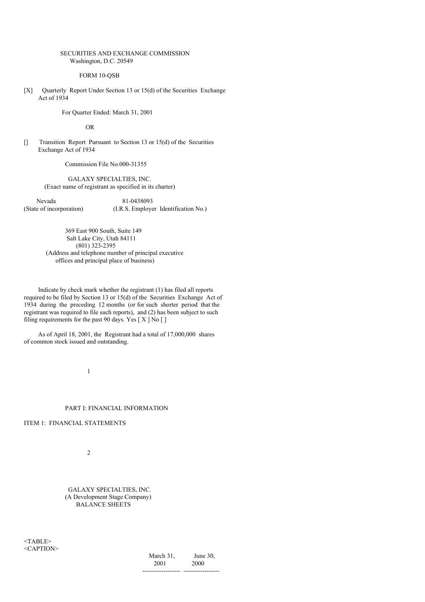### SECURITIES AND EXCHANGE COMMISSION Washington, D.C. 20549

FORM 10-QSB

[X] Quarterly Report Under Section 13 or 15(d) of the Securities Exchange Act of 1934

For Quarter Ended: March 31, 2001

OR

[] Transition Report Pursuant to Section 13 or 15(d) of the Securities Exchange Act of 1934

Commission File No.000-31355

GALAXY SPECIALTIES, INC. (Exact name of registrant as specified in its charter)

Nevada 81-0438093 (State of incorporation) (I.R.S. Employer Identification No.)

> 369 East 900 South, Suite 149 Salt Lake City, Utah 84111 (801) 323-2395 (Address and telephone number of principal executive offices and principal place of business)

Indicate by check mark whether the registrant (1) has filed all reports required to be filed by Section 13 or 15(d) of the Securities Exchange Act of 1934 during the preceding 12 months (or for such shorter period that the registrant was required to file such reports), and (2) has been subject to such filing requirements for the past 90 days. Yes [ X ] No [ ]

As of April 18, 2001, the Registrant had a total of 17,000,000 shares of common stock issued and outstanding.

1

#### PART I: FINANCIAL INFORMATION

# ITEM 1: FINANCIAL STATEMENTS

 $\overline{2}$ 

GALAXY SPECIALTIES, INC. (A Development Stage Company) BALANCE SHEETS

<TABLE> <CAPTION>

March 31, June 30, 2001 2000 ------------------ -----------------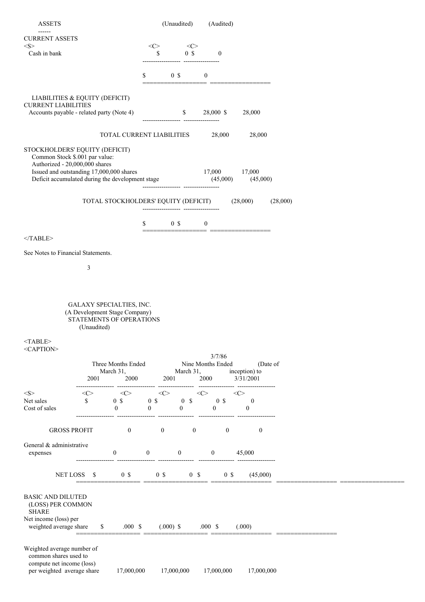| <b>ASSETS</b>                                                              |             |                                                           |                                | (Unaudited)                          |                     | (Audited)                       |                                            |          |  |
|----------------------------------------------------------------------------|-------------|-----------------------------------------------------------|--------------------------------|--------------------------------------|---------------------|---------------------------------|--------------------------------------------|----------|--|
| <b>CURRENT ASSETS</b>                                                      |             |                                                           |                                |                                      |                     |                                 |                                            |          |  |
| $<\!\!S\!\!>$                                                              |             |                                                           | $<\infty$                      |                                      | $\langle C \rangle$ |                                 |                                            |          |  |
| Cash in bank                                                               |             |                                                           | \$                             |                                      | $0 \text{ }$ \$     | $\boldsymbol{0}$                |                                            |          |  |
|                                                                            |             |                                                           |                                |                                      |                     |                                 |                                            |          |  |
|                                                                            |             |                                                           | \$                             | 0 <sup>5</sup>                       |                     | $\overline{0}$                  |                                            |          |  |
|                                                                            |             |                                                           |                                |                                      |                     |                                 |                                            |          |  |
| LIABILITIES & EQUITY (DEFICIT)<br><b>CURRENT LIABILITIES</b>               |             |                                                           |                                |                                      |                     |                                 |                                            |          |  |
| Accounts payable - related party (Note 4)                                  |             |                                                           |                                | $\mathbb{S}$                         |                     | 28,000 \$                       | 28,000                                     |          |  |
|                                                                            |             |                                                           |                                |                                      |                     |                                 |                                            |          |  |
|                                                                            |             | TOTAL CURRENT LIABILITIES                                 |                                |                                      |                     | 28,000                          | 28,000                                     |          |  |
| STOCKHOLDERS' EQUITY (DEFICIT)                                             |             |                                                           |                                |                                      |                     |                                 |                                            |          |  |
| Common Stock \$.001 par value:                                             |             |                                                           |                                |                                      |                     |                                 |                                            |          |  |
| Authorized - 20,000,000 shares<br>Issued and outstanding 17,000,000 shares |             |                                                           |                                |                                      |                     | 17,000                          | 17,000                                     |          |  |
| Deficit accumulated during the development stage (45,000)                  |             |                                                           |                                |                                      |                     |                                 | (45,000)                                   |          |  |
|                                                                            |             |                                                           |                                | ------------------ ----------------- |                     |                                 |                                            |          |  |
|                                                                            |             | TOTAL STOCKHOLDERS' EQUITY (DEFICIT)                      |                                |                                      |                     |                                 | (28,000)                                   | (28,000) |  |
|                                                                            |             |                                                           |                                |                                      |                     |                                 |                                            |          |  |
|                                                                            |             |                                                           | \$                             | 0 <sup>5</sup>                       |                     | $\boldsymbol{0}$                |                                            |          |  |
| $<$ /TABLE>                                                                |             |                                                           |                                |                                      |                     |                                 |                                            |          |  |
|                                                                            |             |                                                           |                                |                                      |                     |                                 |                                            |          |  |
| See Notes to Financial Statements.                                         |             |                                                           |                                |                                      |                     |                                 |                                            |          |  |
|                                                                            | 3           |                                                           |                                |                                      |                     |                                 |                                            |          |  |
|                                                                            |             |                                                           |                                |                                      |                     |                                 |                                            |          |  |
|                                                                            |             |                                                           |                                |                                      |                     |                                 |                                            |          |  |
|                                                                            |             |                                                           |                                |                                      |                     |                                 |                                            |          |  |
|                                                                            |             | GALAXY SPECIALTIES, INC.<br>(A Development Stage Company) |                                |                                      |                     |                                 |                                            |          |  |
|                                                                            |             | STATEMENTS OF OPERATIONS                                  |                                |                                      |                     |                                 |                                            |          |  |
|                                                                            | (Unaudited) |                                                           |                                |                                      |                     |                                 |                                            |          |  |
| $<$ TABLE>                                                                 |             |                                                           |                                |                                      |                     |                                 |                                            |          |  |
| <caption></caption>                                                        |             |                                                           |                                |                                      |                     | 3/7/86                          |                                            |          |  |
| Three Months Ended<br>March 31,<br>2001                                    |             |                                                           |                                |                                      |                     | Nine Months Ended               | (Date of                                   |          |  |
|                                                                            |             | 2000                                                      |                                | 2001                                 | March 31,           | 2000                            | inception) to<br>3/31/2001                 |          |  |
|                                                                            |             |                                                           |                                |                                      |                     |                                 |                                            |          |  |
| $<\!\!S\!\!>$                                                              | <<>         | $\langle C \rangle$                                       |                                | <<>                                  |                     | $\langle C \rangle$             | $<\infty$                                  |          |  |
| Net sales<br>Cost of sales                                                 | \$          | $0 \text{ s}$<br>$\mathbf{0}$                             | 0 <sup>5</sup><br>$\mathbf{0}$ | $\mathbf{0}$                         | 0 S                 | 0 <sup>5</sup><br>$\mathbf{0}$  | $\overline{\phantom{0}}$<br>$\overline{0}$ |          |  |
|                                                                            |             |                                                           |                                |                                      |                     |                                 |                                            |          |  |
| <b>GROSS PROFIT</b>                                                        |             | $\boldsymbol{0}$                                          |                                | $\bf{0}$                             | $\mathbf{0}$        | $\mathbf{0}$                    | $\bf{0}$                                   |          |  |
|                                                                            |             |                                                           |                                |                                      |                     |                                 |                                            |          |  |
| General & administrative<br>expenses                                       |             | $\overline{0}$                                            | $\mathbf{0}$                   | $\boldsymbol{0}$                     |                     | $\mathbf{0}$                    | 45,000                                     |          |  |
|                                                                            |             |                                                           |                                |                                      |                     |                                 |                                            |          |  |
|                                                                            |             | 0 <sup>5</sup>                                            |                                |                                      |                     |                                 |                                            |          |  |
|                                                                            | NET LOSS \$ |                                                           |                                | $0 \text{ s}$                        |                     | $0 \quad$ \$<br>$0 \text{ }$ \$ | (45,000)                                   |          |  |
|                                                                            |             |                                                           |                                |                                      |                     |                                 |                                            |          |  |
| <b>BASIC AND DILUTED</b><br>(LOSS) PER COMMON                              |             |                                                           |                                |                                      |                     |                                 |                                            |          |  |
| <b>SHARE</b>                                                               |             |                                                           |                                |                                      |                     |                                 |                                            |          |  |
| Net income (loss) per<br>weighted average share                            |             | $\mathbb{S}$<br>$.000\;\;{\rm S}$                         |                                | $(.000)$ \$ .000 \$                  |                     |                                 | (.000)                                     |          |  |
|                                                                            |             |                                                           |                                |                                      |                     |                                 |                                            |          |  |
|                                                                            |             |                                                           |                                |                                      |                     |                                 |                                            |          |  |
| Weighted average number of<br>common shares used to                        |             |                                                           |                                |                                      |                     |                                 |                                            |          |  |
| compute net income (loss)                                                  |             |                                                           |                                |                                      |                     |                                 |                                            |          |  |
| per weighted average share                                                 |             | 17,000,000                                                |                                | 17,000,000                           |                     | 17,000,000                      | 17,000,000                                 |          |  |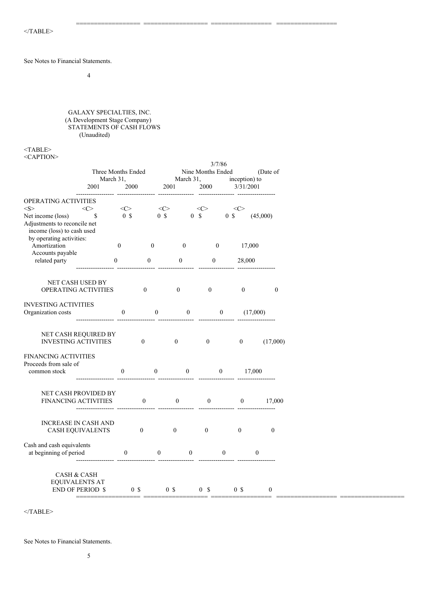See Notes to Financial Statements.

4

GALAXY SPECIALTIES, INC. (A Development Stage Company) STATEMENTS OF CASH FLOWS (Unaudited)

 $<$ TABLE> <CAPTION>

|                                                     |   |                  |                | 3/7/86           |                  |                   |                  |                     |                           |                  |                  |          |                  |                  |
|-----------------------------------------------------|---|------------------|----------------|------------------|------------------|-------------------|------------------|---------------------|---------------------------|------------------|------------------|----------|------------------|------------------|
| Three Months Ended<br>March 31,                     |   |                  |                |                  |                  | Nine Months Ended |                  |                     | (Date of<br>inception) to |                  |                  |          |                  |                  |
| 2001                                                |   |                  | 2000           |                  | 2001             |                   | March 31,        | 2000                |                           |                  | 3/31/2001        |          |                  |                  |
|                                                     |   |                  |                |                  |                  |                   |                  |                     |                           |                  |                  |          |                  |                  |
| OPERATING ACTIVITIES                                |   |                  |                |                  |                  |                   |                  |                     |                           |                  |                  |          |                  |                  |
| $<\!\!S\!\!>$<br>$<\infty$                          |   | $<\infty$        |                |                  | $<\infty$        |                   |                  | $\langle C \rangle$ |                           |                  | $<$ C>           |          |                  |                  |
| Net income (loss)                                   | S | 0 <sup>5</sup>   |                |                  | 0 <sup>5</sup>   |                   |                  | $0 \quad$           |                           | 0 <sup>5</sup>   |                  |          | (45,000)         |                  |
| Adjustments to reconcile net                        |   |                  |                |                  |                  |                   |                  |                     |                           |                  |                  |          |                  |                  |
| income (loss) to cash used                          |   |                  |                |                  |                  |                   |                  |                     |                           |                  |                  |          |                  |                  |
| by operating activities:                            |   |                  |                |                  |                  |                   |                  |                     |                           |                  |                  |          |                  |                  |
| Amortization<br>Accounts payable                    |   | $\boldsymbol{0}$ |                | $\boldsymbol{0}$ |                  |                   | $\mathbf{0}$     |                     | $\mathbf{0}$              |                  |                  | 17,000   |                  |                  |
| related party                                       |   | $\boldsymbol{0}$ |                | $\boldsymbol{0}$ |                  | $\boldsymbol{0}$  |                  |                     | $\boldsymbol{0}$          |                  | 28,000           |          |                  |                  |
|                                                     |   |                  |                |                  |                  |                   |                  |                     |                           |                  |                  |          |                  |                  |
|                                                     |   |                  |                |                  |                  |                   |                  |                     |                           |                  |                  |          |                  |                  |
| NET CASH USED BY                                    |   |                  |                |                  |                  |                   |                  |                     |                           |                  |                  |          |                  |                  |
| OPERATING ACTIVITIES                                |   |                  | $\overline{0}$ |                  |                  | $\mathbf{0}$      |                  |                     | $\boldsymbol{0}$          |                  | $\boldsymbol{0}$ |          |                  | $\boldsymbol{0}$ |
|                                                     |   |                  |                |                  |                  |                   |                  |                     |                           |                  |                  |          |                  |                  |
| <b>INVESTING ACTIVITIES</b>                         |   |                  |                |                  |                  |                   |                  |                     |                           |                  |                  |          |                  |                  |
| Organization costs                                  |   | $\boldsymbol{0}$ |                |                  | $\boldsymbol{0}$ |                   | $\boldsymbol{0}$ |                     |                           | $\boldsymbol{0}$ |                  | (17,000) |                  |                  |
|                                                     |   |                  |                |                  |                  |                   |                  |                     |                           |                  |                  |          |                  |                  |
| NET CASH REQUIRED BY                                |   |                  |                |                  |                  |                   |                  |                     |                           |                  |                  |          |                  |                  |
| <b>INVESTING ACTIVITIES</b>                         |   |                  |                | $\mathbf{0}$     |                  | $\mathbf{0}$      |                  | $\mathbf{0}$        |                           |                  | $\boldsymbol{0}$ |          | (17,000)         |                  |
|                                                     |   |                  |                |                  |                  |                   |                  |                     |                           |                  |                  |          |                  |                  |
| <b>FINANCING ACTIVITIES</b>                         |   |                  |                |                  |                  |                   |                  |                     |                           |                  |                  |          |                  |                  |
| Proceeds from sale of                               |   |                  |                |                  |                  |                   |                  |                     |                           |                  |                  |          |                  |                  |
| common stock                                        |   | $\boldsymbol{0}$ |                |                  | $\bf{0}$         |                   | $\bf{0}$         |                     |                           | $\mathbf{0}$     |                  | 17,000   |                  |                  |
|                                                     |   |                  |                |                  |                  |                   |                  |                     |                           |                  |                  |          |                  |                  |
| NET CASH PROVIDED BY                                |   |                  |                |                  |                  |                   |                  |                     |                           |                  |                  |          |                  |                  |
| <b>FINANCING ACTIVITIES</b>                         |   |                  |                | $\mathbf{0}$     |                  | $\mathbf{0}$      |                  |                     | $\boldsymbol{0}$          |                  | $\overline{0}$   |          | 17,000           |                  |
|                                                     |   |                  |                |                  |                  |                   |                  |                     |                           |                  |                  |          |                  |                  |
|                                                     |   |                  |                |                  |                  |                   |                  |                     |                           |                  |                  |          |                  |                  |
| <b>INCREASE IN CASH AND</b>                         |   |                  |                |                  |                  |                   |                  |                     |                           |                  |                  |          |                  |                  |
| <b>CASH EQUIVALENTS</b>                             |   |                  | $\mathbf{0}$   |                  |                  | $\mathbf{0}$      |                  | $\bf{0}$            |                           |                  | $\mathbf{0}$     |          | $\boldsymbol{0}$ |                  |
|                                                     |   |                  |                |                  |                  |                   |                  |                     |                           |                  |                  |          |                  |                  |
| Cash and cash equivalents<br>at beginning of period |   | $\boldsymbol{0}$ |                |                  | $\boldsymbol{0}$ |                   | $\bf{0}$         |                     |                           | $\bf{0}$         |                  | $\bf{0}$ |                  |                  |
|                                                     |   |                  |                |                  |                  |                   |                  |                     |                           |                  |                  |          |                  |                  |
|                                                     |   |                  |                |                  |                  |                   |                  |                     |                           |                  |                  |          |                  |                  |
| <b>CASH &amp; CASH</b>                              |   |                  |                |                  |                  |                   |                  |                     |                           |                  |                  |          |                  |                  |
| <b>EQUIVALENTS AT</b>                               |   |                  |                |                  |                  |                   |                  |                     |                           |                  |                  |          |                  |                  |
| <b>END OF PERIOD \$</b>                             |   |                  | 0 <sup>5</sup> |                  |                  | 0 <sup>5</sup>    |                  | 0 S                 |                           |                  | 0 <sup>5</sup>   |          | $\boldsymbol{0}$ |                  |
|                                                     |   |                  |                |                  |                  |                   |                  |                     |                           |                  |                  |          |                  |                  |

================== ================== ================= =================

 $<$ /TABLE>

See Notes to Financial Statements.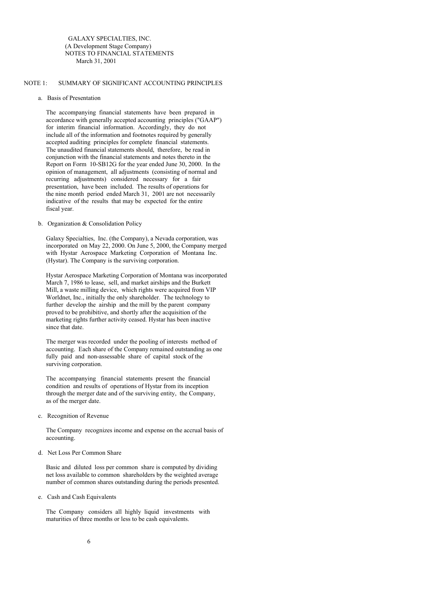GALAXY SPECIALTIES, INC. (A Development Stage Company) NOTES TO FINANCIAL STATEMENTS March 31, 2001

# NOTE 1: SUMMARY OF SIGNIFICANT ACCOUNTING PRINCIPLES

#### a. Basis of Presentation

The accompanying financial statements have been prepared in accordance with generally accepted accounting principles ("GAAP") for interim financial information. Accordingly, they do not include all of the information and footnotes required by generally accepted auditing principles for complete financial statements. The unaudited financial statements should, therefore, be read in conjunction with the financial statements and notes thereto in the Report on Form 10-SB12G for the year ended June 30, 2000. In the opinion of management, all adjustments (consisting of normal and recurring adjustments) considered necessary for a fair presentation, have been included. The results of operations for the nine month period ended March 31, 2001 are not necessarily indicative of the results that may be expected for the entire fiscal year.

### b. Organization & Consolidation Policy

Galaxy Specialties, Inc. (the Company), a Nevada corporation, was incorporated on May 22, 2000. On June 5, 2000, the Company merged with Hystar Aerospace Marketing Corporation of Montana Inc. (Hystar). The Company is the surviving corporation.

Hystar Aerospace Marketing Corporation of Montana was incorporated March 7, 1986 to lease, sell, and market airships and the Burkett Mill, a waste milling device, which rights were acquired from VIP Worldnet, Inc., initially the only shareholder. The technology to further develop the airship and the mill by the parent company proved to be prohibitive, and shortly after the acquisition of the marketing rights further activity ceased. Hystar has been inactive since that date.

The merger was recorded under the pooling of interests method of accounting. Each share of the Company remained outstanding as one fully paid and non-assessable share of capital stock of the surviving corporation.

The accompanying financial statements present the financial condition and results of operations of Hystar from its inception through the merger date and of the surviving entity, the Company, as of the merger date.

c. Recognition of Revenue

The Company recognizes income and expense on the accrual basis of accounting.

### d. Net Loss Per Common Share

Basic and diluted loss per common share is computed by dividing net loss available to common shareholders by the weighted average number of common shares outstanding during the periods presented.

e. Cash and Cash Equivalents

The Company considers all highly liquid investments with maturities of three months or less to be cash equivalents.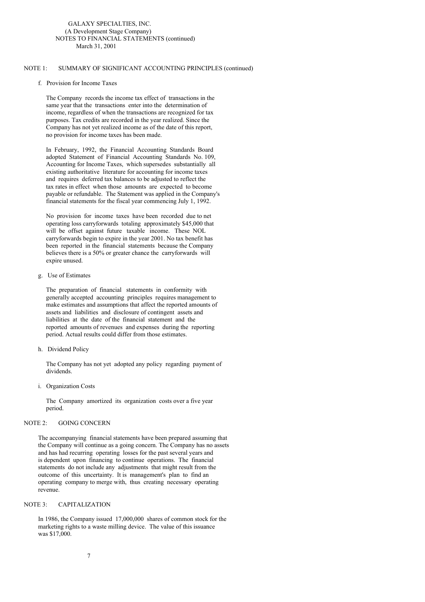### NOTE 1: SUMMARY OF SIGNIFICANT ACCOUNTING PRINCIPLES (continued)

### f. Provision for Income Taxes

The Company records the income tax effect of transactions in the same year that the transactions enter into the determination of income, regardless of when the transactions are recognized for tax purposes. Tax credits are recorded in the year realized. Since the Company has not yet realized income as of the date of this report, no provision for income taxes has been made.

In February, 1992, the Financial Accounting Standards Board adopted Statement of Financial Accounting Standards No. 109, Accounting for Income Taxes, which supersedes substantially all existing authoritative literature for accounting for income taxes and requires deferred tax balances to be adjusted to reflect the tax rates in effect when those amounts are expected to become payable or refundable. The Statement was applied in the Company's financial statements for the fiscal year commencing July 1, 1992.

No provision for income taxes have been recorded due to net operating loss carryforwards totaling approximately \$45,000 that will be offset against future taxable income. These NOL carryforwards begin to expire in the year 2001. No tax benefit has been reported in the financial statements because the Company believes there is a 50% or greater chance the carryforwards will expire unused.

### g. Use of Estimates

The preparation of financial statements in conformity with generally accepted accounting principles requires management to make estimates and assumptions that affect the reported amounts of assets and liabilities and disclosure of contingent assets and liabilities at the date of the financial statement and the reported amounts of revenues and expenses during the reporting period. Actual results could differ from those estimates.

h. Dividend Policy

The Company has not yet adopted any policy regarding payment of dividends.

i. Organization Costs

The Company amortized its organization costs over a five year period.

### NOTE 2: GOING CONCERN

The accompanying financial statements have been prepared assuming that the Company will continue as a going concern. The Company has no assets and has had recurring operating losses for the past several years and is dependent upon financing to continue operations. The financial statements do not include any adjustments that might result from the outcome of this uncertainty. It is management's plan to find an operating company to merge with, thus creating necessary operating revenue.

# NOTE 3: CAPITALIZATION

In 1986, the Company issued 17,000,000 shares of common stock for the marketing rights to a waste milling device. The value of this issuance was \$17,000.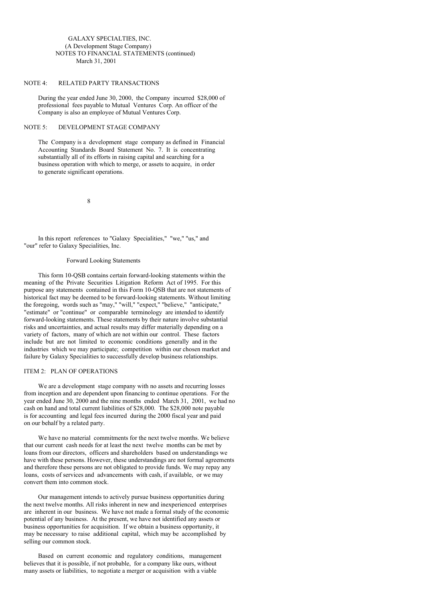# GALAXY SPECIALTIES, INC. (A Development Stage Company) NOTES TO FINANCIAL STATEMENTS (continued) March 31, 2001

# NOTE 4: RELATED PARTY TRANSACTIONS

During the year ended June 30, 2000, the Company incurred \$28,000 of professional fees payable to Mutual Ventures Corp. An officer of the Company is also an employee of Mutual Ventures Corp.

# NOTE 5: DEVELOPMENT STAGE COMPANY

The Company is a development stage company as defined in Financial Accounting Standards Board Statement No. 7. It is concentrating substantially all of its efforts in raising capital and searching for a business operation with which to merge, or assets to acquire, in order to generate significant operations.

8

In this report references to "Galaxy Specialities," "we," "us," and "our" refer to Galaxy Specialities, Inc.

#### Forward Looking Statements

This form 10-QSB contains certain forward-looking statements within the meaning of the Private Securities Litigation Reform Act of 1995. For this purpose any statements contained in this Form 10-QSB that are not statements of historical fact may be deemed to be forward-looking statements. Without limiting the foregoing, words such as "may," "will," "expect," "believe," "anticipate," "estimate" or "continue" or comparable terminology are intended to identify forward-looking statements. These statements by their nature involve substantial risks and uncertainties, and actual results may differ materially depending on a variety of factors, many of which are not within our control. These factors include but are not limited to economic conditions generally and in the industries which we may participate; competition within our chosen market and failure by Galaxy Specialities to successfully develop business relationships.

# ITEM 2: PLAN OF OPERATIONS

We are a development stage company with no assets and recurring losses from inception and are dependent upon financing to continue operations. For the year ended June 30, 2000 and the nine months ended March 31, 2001, we had no cash on hand and total current liabilities of \$28,000. The \$28,000 note payable is for accounting and legal fees incurred during the 2000 fiscal year and paid on our behalf by a related party.

We have no material commitments for the next twelve months. We believe that our current cash needs for at least the next twelve months can be met by loans from our directors, officers and shareholders based on understandings we have with these persons. However, these understandings are not formal agreements and therefore these persons are not obligated to provide funds. We may repay any loans, costs of services and advancements with cash, if available, or we may convert them into common stock.

Our management intends to actively pursue business opportunities during the next twelve months. All risks inherent in new and inexperienced enterprises are inherent in our business. We have not made a formal study of the economic potential of any business. At the present, we have not identified any assets or business opportunities for acquisition. If we obtain a business opportunity, it may be necessary to raise additional capital, which may be accomplished by selling our common stock.

Based on current economic and regulatory conditions, management believes that it is possible, if not probable, for a company like ours, without many assets or liabilities, to negotiate a merger or acquisition with a viable